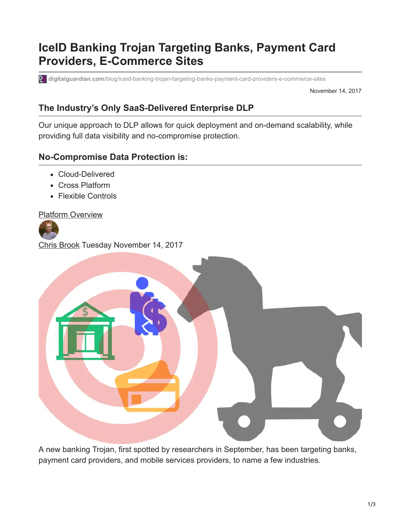## **IceID Banking Trojan Targeting Banks, Payment Card Providers, E-Commerce Sites**

**digitalguardian.com**[/blog/iceid-banking-trojan-targeting-banks-payment-card-providers-e-commerce-sites](https://digitalguardian.com/blog/iceid-banking-trojan-targeting-banks-payment-card-providers-e-commerce-sites)

November 14, 2017

## **The Industry's Only SaaS-Delivered Enterprise DLP**

Our unique approach to DLP allows for quick deployment and on-demand scalability, while providing full data visibility and no-compromise protection.

## **No-Compromise Data Protection is:**

- Cloud-Delivered
- Cross Platform
- Flexible Controls

[Platform Overview](https://digitalguardian.com/products/threat-aware-data-protection-platform)





A new banking Trojan, first spotted by researchers in September, has been targeting banks, payment card providers, and mobile services providers, to name a few industries.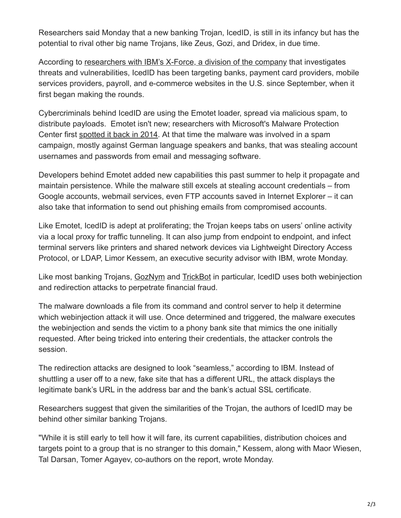Researchers said Monday that a new banking Trojan, IcedID, is still in its infancy but has the potential to rival other big name Trojans, like Zeus, Gozi, and Dridex, in due time.

According to [researchers with IBM's X-Force, a division of the company](https://securityintelligence.com/new-banking-trojan-icedid-discovered-by-ibm-x-force-research/) that investigates threats and vulnerabilities, IcedID has been targeting banks, payment card providers, mobile services providers, payroll, and e-commerce websites in the U.S. since September, when it first began making the rounds.

Cybercriminals behind IcedID are using the Emotet loader, spread via malicious spam, to distribute payloads. Emotet isn't new; researchers with Microsoft's Malware Protection Center first [spotted it back in 2014](https://blogs.technet.microsoft.com/mmpc/2015/01/06/emotet-spam-campaign-targets-banking-credentials/). At that time the malware was involved in a spam campaign, mostly against German language speakers and banks, that was stealing account usernames and passwords from email and messaging software.

Developers behind Emotet added new capabilities this past summer to help it propagate and maintain persistence. While the malware still excels at stealing account credentials – from Google accounts, webmail services, even FTP accounts saved in Internet Explorer – it can also take that information to send out phishing emails from compromised accounts.

Like Emotet, IcedID is adept at proliferating; the Trojan keeps tabs on users' online activity via a local proxy for traffic tunneling. It can also jump from endpoint to endpoint, and infect terminal servers like printers and shared network devices via Lightweight Directory Access Protocol, or LDAP, Limor Kessem, an executive security advisor with IBM, wrote Monday.

Like most banking Trojans, [GozNym](http://blog.malwarebytes.com/threat-analysis/2017/08/trickbot-comes-with-new-tricks-attacking-outlook-and-browsing-data/) and [TrickBot](https://blog.malwarebytes.com/threat-analysis/2017/08/trickbot-comes-with-new-tricks-attacking-outlook-and-browsing-data/) in particular, IcedID uses both webinjection and redirection attacks to perpetrate financial fraud.

The malware downloads a file from its command and control server to help it determine which webinjection attack it will use. Once determined and triggered, the malware executes the webinjection and sends the victim to a phony bank site that mimics the one initially requested. After being tricked into entering their credentials, the attacker controls the session.

The redirection attacks are designed to look "seamless," according to IBM. Instead of shuttling a user off to a new, fake site that has a different URL, the attack displays the legitimate bank's URL in the address bar and the bank's actual SSL certificate.

Researchers suggest that given the similarities of the Trojan, the authors of IcedID may be behind other similar banking Trojans.

"While it is still early to tell how it will fare, its current capabilities, distribution choices and targets point to a group that is no stranger to this domain," Kessem, along with Maor Wiesen, Tal Darsan, Tomer Agayev, co-authors on the report, wrote Monday.